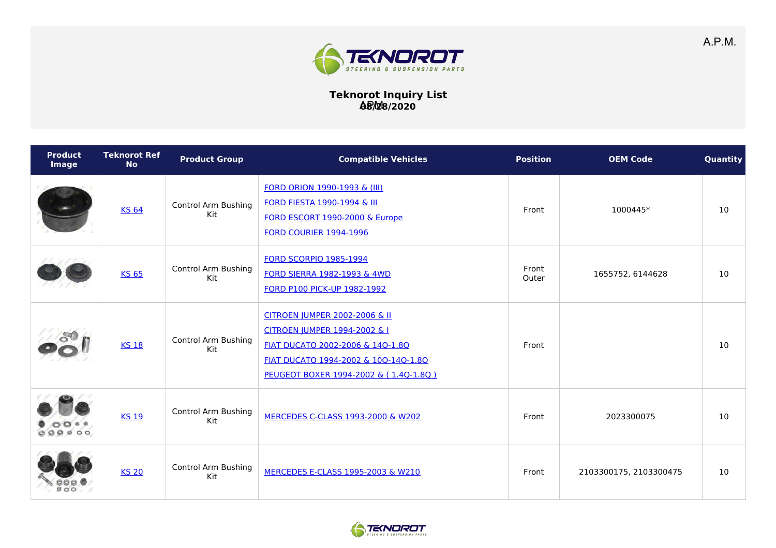

## **Teknorot Inquiry List 08/28/2020** APM

| <b>Product</b><br>Image | <b>Teknorot Ref</b><br><b>No</b> | <b>Product Group</b>              | <b>Compatible Vehicles</b>                                                                                                                                                         | <b>Position</b> | <b>OEM Code</b>        | Quantity |
|-------------------------|----------------------------------|-----------------------------------|------------------------------------------------------------------------------------------------------------------------------------------------------------------------------------|-----------------|------------------------|----------|
|                         | <b>KS 64</b>                     | <b>Control Arm Bushing</b><br>Kit | <b>FORD ORION 1990-1993 &amp; (III)</b><br><b>FORD FIESTA 1990-1994 &amp; III</b><br>FORD ESCORT 1990-2000 & Europe<br><b>FORD COURIER 1994-1996</b>                               | Front           | 1000445*               | 10       |
|                         | <b>KS 65</b>                     | <b>Control Arm Bushing</b><br>Kit | <b>FORD SCORPIO 1985-1994</b><br>FORD SIERRA 1982-1993 & 4WD<br>FORD P100 PICK-UP 1982-1992                                                                                        | Front<br>Outer  | 1655752, 6144628       | 10       |
|                         | <b>KS 18</b>                     | <b>Control Arm Bushing</b><br>Kit | CITROEN JUMPER 2002-2006 & II<br>CITROEN JUMPER 1994-2002 & I<br>FIAT DUCATO 2002-2006 & 14Q-1.8Q<br>FIAT DUCATO 1994-2002 & 10Q-14Q-1.8Q<br>PEUGEOT BOXER 1994-2002 & (1.4Q-1.8Q) | Front           |                        | 10       |
| 0000                    | <b>KS 19</b>                     | Control Arm Bushing<br>Kit        | MERCEDES C-CLASS 1993-2000 & W202                                                                                                                                                  | Front           | 2023300075             | 10       |
|                         | <b>KS 20</b>                     | <b>Control Arm Bushing</b><br>Kit | MERCEDES E-CLASS 1995-2003 & W210                                                                                                                                                  | Front           | 2103300175, 2103300475 | 10       |

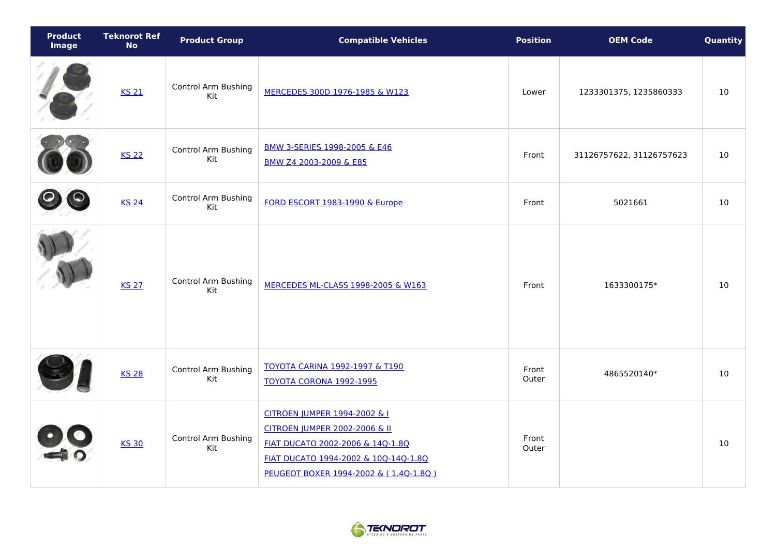| <b>Product</b><br><b>Image</b> | <b>Teknorot Ref</b><br><b>No</b> | <b>Product Group</b>              | <b>Compatible Vehicles</b>                                                                                                                                                         | <b>Position</b> | <b>OEM Code</b>          | Quantity |
|--------------------------------|----------------------------------|-----------------------------------|------------------------------------------------------------------------------------------------------------------------------------------------------------------------------------|-----------------|--------------------------|----------|
|                                | <b>KS 21</b>                     | <b>Control Arm Bushing</b><br>Kit | MERCEDES 300D 1976-1985 & W123                                                                                                                                                     | Lower           | 1233301375, 1235860333   | 10       |
|                                | <b>KS 22</b>                     | Control Arm Bushing<br>Kit        | BMW 3-SERIES 1998-2005 & E46<br>BMW Z4 2003-2009 & E85                                                                                                                             | Front           | 31126757622, 31126757623 | 10       |
|                                | <b>KS 24</b>                     | Control Arm Bushing<br>Kit        | FORD ESCORT 1983-1990 & Europe                                                                                                                                                     | Front           | 5021661                  | 10       |
|                                | <b>KS 27</b>                     | <b>Control Arm Bushing</b><br>Kit | MERCEDES ML-CLASS 1998-2005 & W163                                                                                                                                                 | Front           | 1633300175*              | 10       |
|                                | <b>KS 28</b>                     | Control Arm Bushing<br>Kit        | <b>TOYOTA CARINA 1992-1997 &amp; T190</b><br><b>TOYOTA CORONA 1992-1995</b>                                                                                                        | Front<br>Outer  | 4865520140*              | 10       |
|                                | <b>KS 30</b>                     | <b>Control Arm Bushing</b><br>Kit | CITROEN JUMPER 1994-2002 & I<br>CITROEN JUMPER 2002-2006 & II<br>FIAT DUCATO 2002-2006 & 14Q-1.8Q<br>FIAT DUCATO 1994-2002 & 10Q-14Q-1.8Q<br>PEUGEOT BOXER 1994-2002 & (1.4Q-1.8Q) | Front<br>Outer  |                          | 10       |

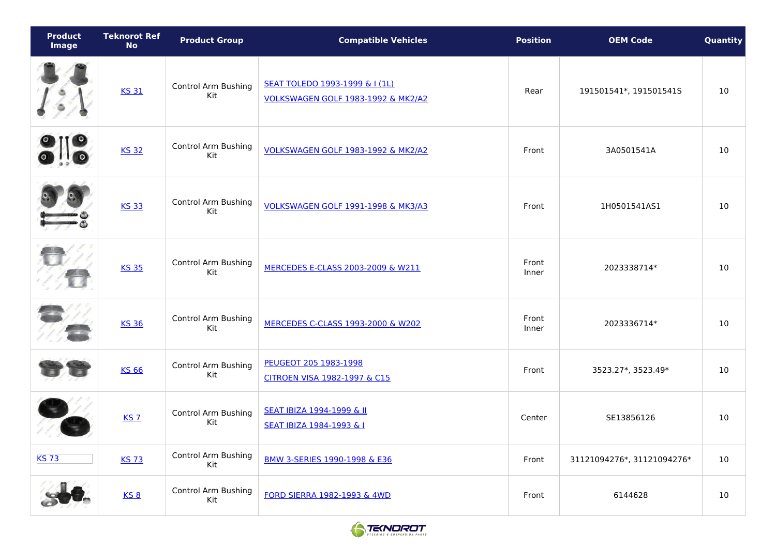| Product<br><b>Image</b> | <b>Teknorot Ref</b><br><b>No</b> | <b>Product Group</b>              | <b>Compatible Vehicles</b>                                           | <b>Position</b> | <b>OEM Code</b>            | Quantity |
|-------------------------|----------------------------------|-----------------------------------|----------------------------------------------------------------------|-----------------|----------------------------|----------|
|                         | <b>KS 31</b>                     | <b>Control Arm Bushing</b><br>Kit | SEAT TOLEDO 1993-1999 & I (1L)<br>VOLKSWAGEN GOLF 1983-1992 & MK2/A2 | Rear            | 191501541*, 191501541S     | 10       |
|                         | <b>KS 32</b>                     | <b>Control Arm Bushing</b><br>Kit | VOLKSWAGEN GOLF 1983-1992 & MK2/A2                                   | Front           | 3A0501541A                 | 10       |
|                         | <b>KS 33</b>                     | <b>Control Arm Bushing</b><br>Kit | <b>VOLKSWAGEN GOLF 1991-1998 &amp; MK3/A3</b>                        | Front           | 1H0501541AS1               | 10       |
|                         | <b>KS 35</b>                     | <b>Control Arm Bushing</b><br>Kit | MERCEDES E-CLASS 2003-2009 & W211                                    | Front<br>Inner  | 2023338714*                | 10       |
|                         | <b>KS 36</b>                     | <b>Control Arm Bushing</b><br>Kit | MERCEDES C-CLASS 1993-2000 & W202                                    | Front<br>Inner  | 2023336714*                | 10       |
|                         | <b>KS 66</b>                     | Control Arm Bushing<br>Kit        | PEUGEOT 205 1983-1998<br>CITROEN VISA 1982-1997 & C15                | Front           | 3523.27*, 3523.49*         | 10       |
|                         | <b>KS 7</b>                      | <b>Control Arm Bushing</b><br>Kit | SEAT IBIZA 1994-1999 & II<br>SEAT IBIZA 1984-1993 & I                | Center          | SE13856126                 | 10       |
| <b>KS73</b>             | <b>KS73</b>                      | <b>Control Arm Bushing</b><br>Kit | BMW 3-SERIES 1990-1998 & E36                                         | Front           | 31121094276*, 31121094276* | 10       |
|                         | $KS$ 8                           | Control Arm Bushing<br>Kit        | FORD SIERRA 1982-1993 & 4WD                                          | Front           | 6144628                    | 10       |

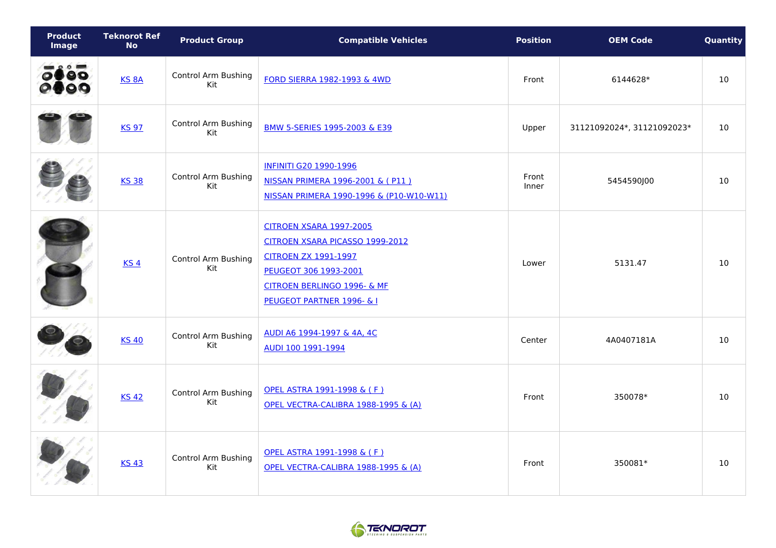| <b>Product</b><br><b>Image</b>          | <b>Teknorot Ref</b><br><b>No</b> | <b>Product Group</b>              | <b>Compatible Vehicles</b>                                                                                                                                                            | <b>Position</b> | <b>OEM Code</b>            | Quantity |
|-----------------------------------------|----------------------------------|-----------------------------------|---------------------------------------------------------------------------------------------------------------------------------------------------------------------------------------|-----------------|----------------------------|----------|
| $\bullet$ 0 0 $\bullet$<br>0880<br>2800 | KS <sub>8A</sub>                 | Control Arm Bushing<br>Kit        | <b>FORD SIERRA 1982-1993 &amp; 4WD</b>                                                                                                                                                | Front           | 6144628*                   | $10$     |
|                                         | <b>KS 97</b>                     | <b>Control Arm Bushing</b><br>Kit | BMW 5-SERIES 1995-2003 & E39                                                                                                                                                          | Upper           | 31121092024*, 31121092023* | 10       |
|                                         | <b>KS 38</b>                     | Control Arm Bushing<br>Kit        | <b>INFINITI G20 1990-1996</b><br>NISSAN PRIMERA 1996-2001 & (P11)<br>NISSAN PRIMERA 1990-1996 & (P10-W10-W11)                                                                         | Front<br>Inner  | 5454590J00                 | 10       |
|                                         | KS <sub>4</sub>                  | Control Arm Bushing<br>Kit        | <b>CITROEN XSARA 1997-2005</b><br>CITROEN XSARA PICASSO 1999-2012<br><b>CITROEN ZX 1991-1997</b><br>PEUGEOT 306 1993-2001<br>CITROEN BERLINGO 1996- & MF<br>PEUGEOT PARTNER 1996- & I | Lower           | 5131.47                    | 10       |
|                                         | <b>KS 40</b>                     | <b>Control Arm Bushing</b><br>Kit | AUDI A6 1994-1997 & 4A, 4C<br>AUDI 100 1991-1994                                                                                                                                      | Center          | 4A0407181A                 | 10       |
|                                         | <b>KS 42</b>                     | Control Arm Bushing<br>Kit        | OPEL ASTRA 1991-1998 & (F)<br>OPEL VECTRA-CALIBRA 1988-1995 & (A)                                                                                                                     | Front           | 350078*                    | 10       |
|                                         | <b>KS 43</b>                     | <b>Control Arm Bushing</b><br>Kit | OPEL ASTRA 1991-1998 & (F)<br>OPEL VECTRA-CALIBRA 1988-1995 & (A)                                                                                                                     | Front           | 350081*                    | 10       |

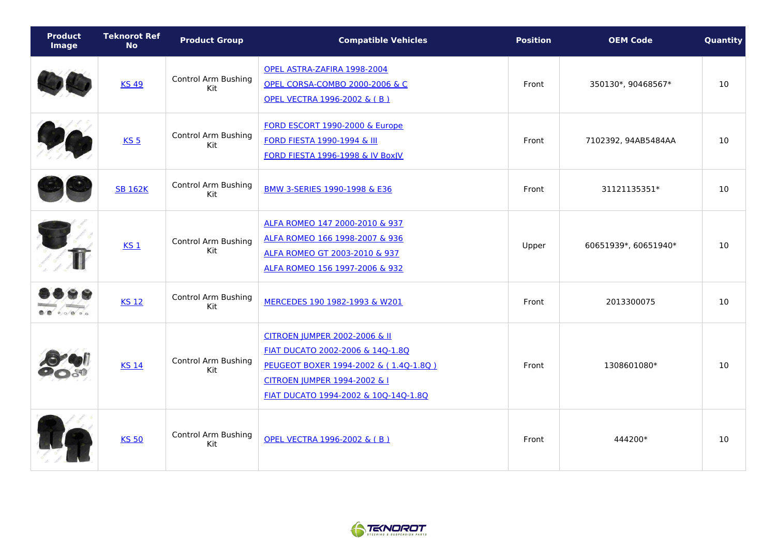| <b>Product</b><br><b>Image</b> | <b>Teknorot Ref</b><br><b>No</b> | <b>Product Group</b>              | <b>Compatible Vehicles</b>                                                                                                                                                         | <b>Position</b> | <b>OEM Code</b>      | Quantity |
|--------------------------------|----------------------------------|-----------------------------------|------------------------------------------------------------------------------------------------------------------------------------------------------------------------------------|-----------------|----------------------|----------|
|                                | <b>KS 49</b>                     | <b>Control Arm Bushing</b><br>Kit | OPEL ASTRA-ZAFIRA 1998-2004<br><b>OPEL CORSA-COMBO 2000-2006 &amp; C</b><br>OPEL VECTRA 1996-2002 & (B)                                                                            | Front           | 350130*, 90468567*   | 10       |
|                                | KS <sub>5</sub>                  | <b>Control Arm Bushing</b><br>Kit | FORD ESCORT 1990-2000 & Europe<br><b>FORD FIESTA 1990-1994 &amp; III</b><br><b>FORD FIESTA 1996-1998 &amp; IV BoxJV</b>                                                            | Front           | 7102392, 94AB5484AA  | 10       |
|                                | <b>SB 162K</b>                   | <b>Control Arm Bushing</b><br>Kit | BMW 3-SERIES 1990-1998 & E36                                                                                                                                                       | Front           | 31121135351*         | 10       |
|                                | $KS_1$                           | <b>Control Arm Bushing</b><br>Kit | ALFA ROMEO 147 2000-2010 & 937<br>ALFA ROMEO 166 1998-2007 & 936<br>ALFA ROMEO GT 2003-2010 & 937<br>ALFA ROMEO 156 1997-2006 & 932                                                | Upper           | 60651939*, 60651940* | 10       |
| $0$ 0 0                        | <b>KS 12</b>                     | <b>Control Arm Bushing</b><br>Kit | MERCEDES 190 1982-1993 & W201                                                                                                                                                      | Front           | 2013300075           | 10       |
|                                | <b>KS 14</b>                     | <b>Control Arm Bushing</b><br>Kit | CITROEN JUMPER 2002-2006 & II<br>FIAT DUCATO 2002-2006 & 14Q-1.8Q<br>PEUGEOT BOXER 1994-2002 & (1.4Q-1.8Q)<br>CITROEN JUMPER 1994-2002 & I<br>FIAT DUCATO 1994-2002 & 10Q-14Q-1.8Q | Front           | 1308601080*          | 10       |
|                                | <b>KS 50</b>                     | <b>Control Arm Bushing</b><br>Kit | OPEL VECTRA 1996-2002 & (B)                                                                                                                                                        | Front           | 444200*              | 10       |

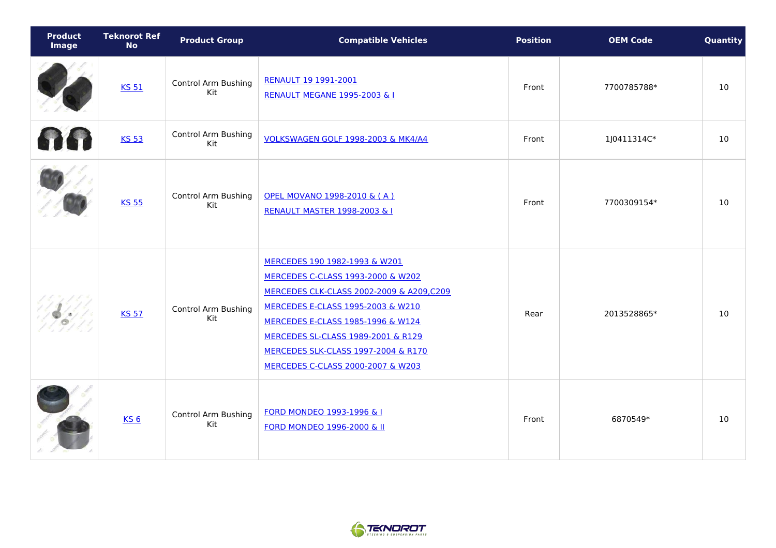| <b>Product</b><br><b>Image</b> | <b>Teknorot Ref</b><br><b>No</b> | <b>Product Group</b>              | <b>Compatible Vehicles</b>                                                                                                                                                                                                                                                                                            | <b>Position</b> | <b>OEM Code</b> | Quantity |
|--------------------------------|----------------------------------|-----------------------------------|-----------------------------------------------------------------------------------------------------------------------------------------------------------------------------------------------------------------------------------------------------------------------------------------------------------------------|-----------------|-----------------|----------|
|                                | <b>KS 51</b>                     | <b>Control Arm Bushing</b><br>Kit | RENAULT 19 1991-2001<br><b>RENAULT MEGANE 1995-2003 &amp; I</b>                                                                                                                                                                                                                                                       | Front           | 7700785788*     | 10       |
|                                | <b>KS 53</b>                     | <b>Control Arm Bushing</b><br>Kit | VOLKSWAGEN GOLF 1998-2003 & MK4/A4                                                                                                                                                                                                                                                                                    | Front           | 1J0411314C*     | 10       |
|                                | <b>KS 55</b>                     | <b>Control Arm Bushing</b><br>Kit | OPEL MOVANO 1998-2010 & (A)<br><b>RENAULT MASTER 1998-2003 &amp; I</b>                                                                                                                                                                                                                                                | Front           | 7700309154*     | 10       |
|                                | <b>KS 57</b>                     | <b>Control Arm Bushing</b><br>Kit | MERCEDES 190 1982-1993 & W201<br><b>MERCEDES C-CLASS 1993-2000 &amp; W202</b><br>MERCEDES CLK-CLASS 2002-2009 & A209,C209<br>MERCEDES E-CLASS 1995-2003 & W210<br>MERCEDES E-CLASS 1985-1996 & W124<br>MERCEDES SL-CLASS 1989-2001 & R129<br>MERCEDES SLK-CLASS 1997-2004 & R170<br>MERCEDES C-CLASS 2000-2007 & W203 | Rear            | 2013528865*     | 10       |
|                                | KS <sub>6</sub>                  | Control Arm Bushing<br>Kit        | <b>FORD MONDEO 1993-1996 &amp; I</b><br><b>FORD MONDEO 1996-2000 &amp; II</b>                                                                                                                                                                                                                                         | Front           | 6870549*        | 10       |